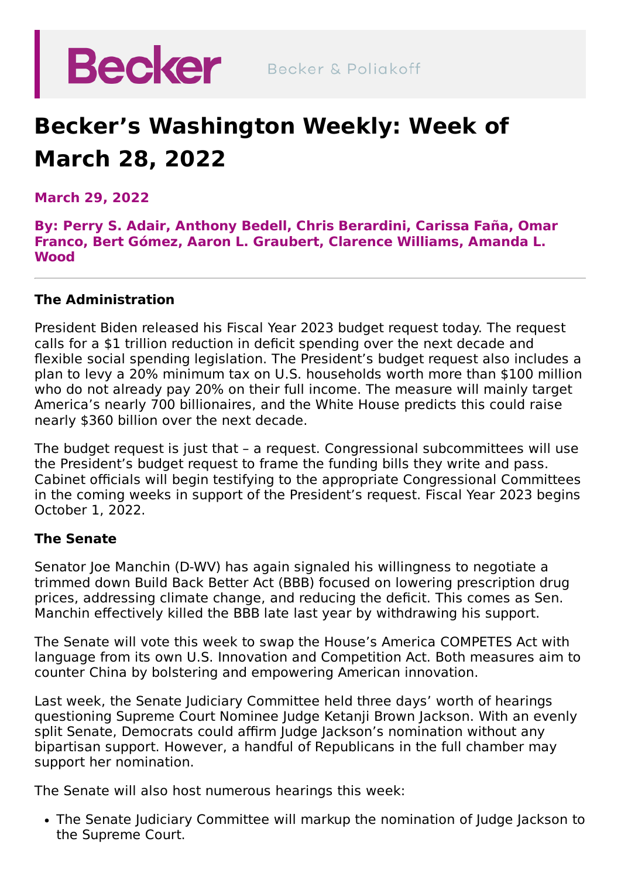

## **Becker's Washington Weekly: Week of March 28, 2022**

**March 29, 2022**

**By: [Perry](https://beckerlawyers.com/professionals/perry-s-adair/) S. Adair, [Anthony](https://beckerlawyers.com/professionals/anthony-bedell/) Bedell, Chris [Berardini](https://beckerlawyers.com/professionals/chris-berardini/)[,](https://beckerlawyers.com/professionals/omar-franco/) [Carissa](https://beckerlawyers.com/professionals/carissa-fana/) Faña, Omar Franco, Bert [Gómez,](https://beckerlawyers.com/professionals/bert-gomez/) Aaron L. [Graubert,](https://beckerlawyers.com/professionals/amanda-l-wood/) [Clarence](https://beckerlawyers.com/professionals/clarence-williams/) Williams, Amanda L. Wood**

## **The Administration**

President Biden released his Fiscal Year 2023 budget request today. The request calls for a \$1 trillion reduction in deficit spending over the next decade and flexible social spending legislation. The President's budget request also includes a plan to levy a 20% minimum tax on U.S. households worth more than \$100 million who do not already pay 20% on their full income. The measure will mainly target America's nearly 700 billionaires, and the White House predicts this could raise nearly \$360 billion over the next decade.

The budget request is just that – a request. Congressional subcommittees will use the President's budget request to frame the funding bills they write and pass. Cabinet officials will begin testifying to the appropriate Congressional Committees in the coming weeks in support of the President's request. Fiscal Year 2023 begins October 1, 2022.

## **The Senate**

Senator Joe Manchin (D-WV) has again signaled his willingness to negotiate a trimmed down Build Back Better Act (BBB) focused on lowering prescription drug prices, addressing climate change, and reducing the deficit. This comes as Sen. Manchin effectively killed the BBB late last year by withdrawing his support.

The Senate will vote this week to swap the House's America COMPETES Act with language from its own U.S. Innovation and Competition Act. Both measures aim to counter China by bolstering and empowering American innovation.

Last week, the Senate Judiciary Committee held three days' worth of hearings questioning Supreme Court Nominee Judge Ketanji Brown Jackson. With an evenly split Senate, Democrats could affirm Judge Jackson's nomination without any bipartisan support. However, a handful of Republicans in the full chamber may support her nomination.

The Senate will also host numerous hearings this week:

The Senate Judiciary Committee will markup the nomination of Judge Jackson to the Supreme Court.